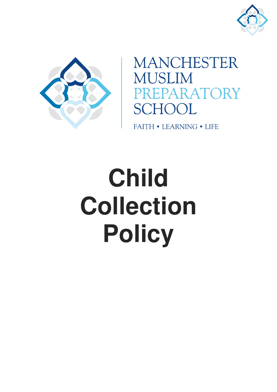



**MANCHESTER MUSLIM** PREPARATORY **SCHOOL** 

**FAITH • LEARNING • LIFE** 

# **Child Collection Policy**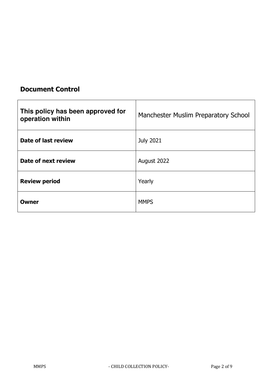# **Document Control**

| This policy has been approved for<br>operation within | Manchester Muslim Preparatory School |
|-------------------------------------------------------|--------------------------------------|
| Date of last review                                   | <b>July 2021</b>                     |
| Date of next review                                   | August 2022                          |
| <b>Review period</b>                                  | Yearly                               |
| Owner                                                 | <b>MMPS</b>                          |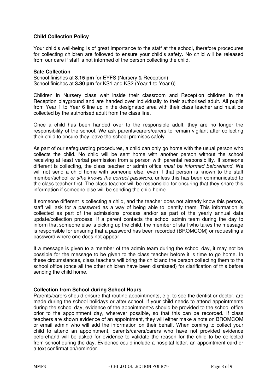# **Child Collection Policy**

Your child's well-being is of great importance to the staff at the school, therefore procedures for collecting children are followed to ensure your child's safety. No child will be released from our care if staff is not informed of the person collecting the child.

#### **Safe Collection**

School finishes at **3.15 pm** for EYFS (Nursery & Reception) School finishes at **3.30 pm** for KS1 and KS2 (Year 1 to Year 6)

Children in Nursery class wait inside their classroom and Reception children in the Reception playground and are handed over individually to their authorised adult. All pupils from Year 1 to Year 6 line up in the designated area with their class teacher and must be collected by the authorised adult from the class line.

Once a child has been handed over to the responsible adult, they are no longer the responsibility of the school. We ask parents/carers/carers to remain vigilant after collecting their child to ensure they leave the school premises safely.

As part of our safeguarding procedures, a child can only go home with the usual person who collects the child. No child will be sent home with another person without the school receiving at least verbal permission from a person with parental responsibility. If someone different is collecting, the class teacher or admin office *must be informed beforehand*. We will not send a child home with someone else, even if that person is known to the staff member/school *or s/he knows the correct password,* unless this has been communicated to the class teacher first. The class teacher will be responsible for ensuring that they share this information if someone else will be sending the child home.

If someone different is collecting a child, and the teacher does not already know this person, staff will ask for a password as a way of being able to identify them. This information is collected as part of the admissions process and/or as part of the yearly annual data update/collection process. If a parent contacts the school admin team during the day to inform that someone else is picking up the child, the member of staff who takes the message is responsible for ensuring that a password has been recorded (BROMCOM) or requesting a password where one does not appear.

If a message is given to a member of the admin team during the school day, it may not be possible for the message to be given to the class teacher before it is time to go home. In these circumstances, class teachers will bring the child and the person collecting them to the school office (once all the other children have been dismissed) for clarification of this before sending the child home.

#### **Collection from School during School Hours**

Parents/carers should ensure that routine appointments, e.g. to see the dentist or doctor, are made during the school holidays or after school. If your child needs to attend appointments during the school day, evidence of the appointment/s should be provided to the school office prior to the appointment day, wherever possible, so that this can be recorded. If class teachers are shown evidence of an appointment, they will either make a note on BROMCOM or email admin who will add the information on their behalf. When coming to collect your child to attend an appointment, parents/carers/carers who have not provided evidence beforehand will be asked for evidence to validate the reason for the child to be collected from school during the day. Evidence could include a hospital letter, an appointment card or a text confirmation/reminder.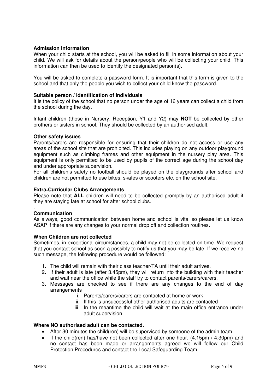# **Admission information**

When your child starts at the school, you will be asked to fill in some information about your child. We will ask for details about the person/people who will be collecting your child. This information can then be used to identify the designated person(s).

You will be asked to complete a password form. It is important that this form is given to the school and that only the people you wish to collect your child know the password.

# **Suitable person / Identification of Individuals**

It is the policy of the school that no person under the age of 16 years can collect a child from the school during the day.

Infant children (those in Nursery, Reception, Y1 and Y2) may **NOT** be collected by other brothers or sisters in school. They should be collected by an authorised adult.

#### **Other safety issues**

Parents/carers are responsible for ensuring that their children do not access or use any areas of the school site that are prohibited. This includes playing on any outdoor playground equipment such as climbing frames and other equipment in the nursery play area. This equipment is only permitted to be used by pupils of the correct age during the school day and under appropriate supervision.

For all children's safety no football should be played on the playgrounds after school and children are not permitted to use bikes, skates or scooters etc. on the school site.

#### **Extra**‐**Curricular Clubs Arrangements**

Please note that **ALL** children will need to be collected promptly by an authorised adult if they are staying late at school for after school clubs.

#### . **Communication**

As always, good communication between home and school is vital so please let us know ASAP if there are any changes to your normal drop off and collection routines.

# **When Children are not collected**

Sometimes, in exceptional circumstances, a child may not be collected on time. We request that you contact school as soon a possibly to notify us that you may be late. If we receive no such message, the following procedure would be followed:

- 1. The child will remain with their class teacher/TA until their adult arrives.
- 2. If their adult is late (after 3.45pm), they will return into the building with their teacher and wait near the office while the staff try to contact parents/carers/carers.
- 3. Messages are checked to see if there are any changes to the end of day arrangements
	- i. Parents/carers/carers are contacted at home or work
	- ii. If this is unsuccessful other authorised adults are contacted
	- iii. In the meantime the child will wait at the main office entrance under adult supervision

#### **Where NO authorised adult can be contacted.**

- After 30 minutes the child(ren) will be supervised by someone of the admin team.
- If the child(ren) has/have not been collected after one hour,  $(4.15pm / 4:30pm)$  and no contact has been made or arrangements agreed we will follow our Child Protection Procedures and contact the Local Safeguarding Team.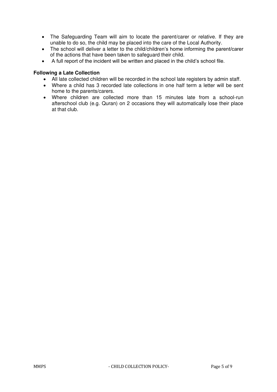- The Safeguarding Team will aim to locate the parent/carer or relative. If they are unable to do so, the child may be placed into the care of the Local Authority.
- The school will deliver a letter to the child/children's home informing the parent/carer of the actions that have been taken to safeguard their child.
- A full report of the incident will be written and placed in the child's school file.

# **Following a Late Collection**

- All late collected children will be recorded in the school late registers by admin staff.
- Where a child has 3 recorded late collections in one half term a letter will be sent home to the parents/carers.
- Where children are collected more than 15 minutes late from a school‐run afterschool club (e.g. Quran) on 2 occasions they will automatically lose their place at that club.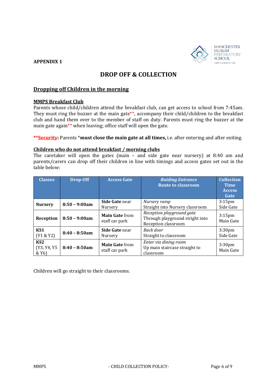



# **DROP OFF & COLLECTION**

# **Dropping off Children in the morning**

#### **MMPS Breakfast Club**

Parents whose child/children attend the breakfast club, can get access to school from 7:45am. They must ring the buzzer at the main gate\*\*, accompany their child/children to the breakfast club and hand them over to the member of staff on duty. Parents must ring the buzzer at the main gate again\*\* when leaving; office staff will open the gate.

**\*\*Security:** Parents \***must close the main gate at all times,** i.e. after entering and after exiting.

#### **Children who do not attend breakfast / morning clubs**

The caretaker will open the gates (main – and side gate near nursery) at 8:40 am and parents/carers can drop off their children in line with timings and access gates set out in the table below:

| <b>Classes</b>                                       | Drop-Off        | <b>Access Gate</b>                      | <b>Buiding Entrance</b><br><b>Route to classroom</b>                                | <b>Collection</b><br><b>Time</b><br><b>Access</b><br>Gate |
|------------------------------------------------------|-----------------|-----------------------------------------|-------------------------------------------------------------------------------------|-----------------------------------------------------------|
| <b>Nursery</b>                                       | $8:50 - 9:00am$ | Side Gate near<br>Nursery               | Nursery ramp<br>Straight into Nursery classroom                                     | 3:15 <sub>pm</sub><br>Side Gate                           |
| Reception                                            | $8:50 - 9:00am$ | <b>Main Gate from</b><br>staff car park | Reception playground gate<br>Through playground stright into<br>Reception classroom | $3:15$ pm<br>Main Gate                                    |
| KS <sub>1</sub><br>(Y1 & 8Y2)                        | $8:40 - 8:50am$ | Side Gate near<br>Nursery               | Back door<br>Straight to classroom                                                  | 3:30 <sub>pm</sub><br>Side Gate                           |
| KS <sub>2</sub><br>(Y3, Y4, Y5<br>& Y <sub>6</sub> ) | $8:40 - 8:50am$ | <b>Main Gate from</b><br>staff car park | Enter via dining room<br>Up main staircase straight to<br>classroom                 | 3:30 <sub>pm</sub><br>Main Gate                           |

Children will go straight to their classrooms.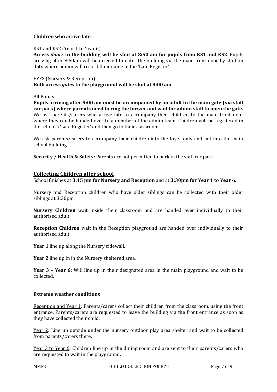# **Children who arrive late**

# KS1 and KS2 (Year 1 to Year 6)

**Access** *doors* **to the building will be shut at 8:50 am for pupils from KS1 and KS2**. Pupils arriving after 8:50am will be directed to enter the building via the main front door by staff on duty where admin will record their name in the 'Late Register'.

#### EYFS (Nursery & Reception)

**Both access** *gates* **to the playground will be shut at 9:00 am**.

#### All Pupils

**Pupils arriving after 9:00 am must be accompanied by an adult to the main gate (via staff car park) where parents need to ring the buzzer and wait for admin staff to open the gate.** We ask parents/carers who arrive late to accompany their children to the main front door where they can be handed over to a member of the admin team. Children will be registered in the school's 'Late Register' and then go to their classroom.

We ask parents/carers to accompany their children into the foyer only and not into the main school building.

**Security / Health & Safety:** Parents are not permitted to park in the staff car park.

# **Collecting Children after school**

School finishes at **3:15 pm for Nursery and Reception** and at **3:30pm for Year 1 to Year 6**.

Nursery and Reception children who have older siblings can be collected with their older siblings at 3:30pm.

**Nursery Children** wait inside their classroom and are handed over individually to their authorised adult.

**Reception Children** wait in the Reception playground are handed over individually to their authorised adult.

**Year 1** line up along the Nursery sidewall.

**Year 2** line up in in the Nursery sheltered area.

**Year 3 – Year 6:** Will line up in their designated area in the main playground and wait to be collected.

# **Extreme weather conditions**

Reception and Year 1: Parents/carers collect their children from the classroom, using the front entrance. Parents/carers are requested to leave the building via the front entrance as soon as they have collected their child.

Year 2: Line up outside under the nursery outdoor play area shelter and wait to be collected from parents/carers there.

Year 3 to Year 6: Children line up in the dining room and are sent to their parents/carers who are requested to wait in the playground.

MMPS - CHILD COLLECTION POLICY- Page 7 of 9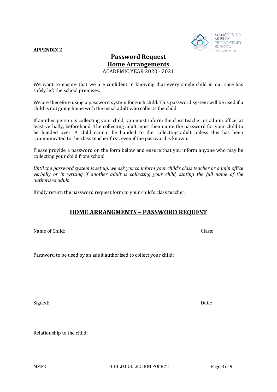#### **APPENDIX 2**



# **Password Request Home Arrangements**  ACADEMIC YEAR 2020 - 2021

We want to ensure that we are confident in knowing that every single child in our care has safely left the school premises.

We are therefore using a password system for each child. This password system will be used if a child is not going home with the usual adult who collects the child.

If another person is collecting your child, you must inform the class teacher or admin office, at least verbally, beforehand. The collecting adult must then quote the password for your child to be handed over. A child cannot be handed to the collecting adult unless this has been communicated to the class teacher first, even if the password is known.

Please provide a password on the form below and ensure that you inform anyone who may be collecting your child from school.

*Until the password system is set up, we ask you to inform your child's class teacher or admin office verbally or in writing if another adult is collecting your child, stating the full name of the authorised adult.* 

Kindly return the password request form to your child's class teacher.

# **HOME ARRANGMENTS – PASSWORD REQUEST**

\_\_\_\_\_\_\_\_\_\_\_\_\_\_\_\_\_\_\_\_\_\_\_\_\_ \_\_\_\_\_\_\_\_\_\_\_\_\_\_\_\_\_\_\_\_\_\_\_\_\_\_\_\_\_\_\_\_\_\_\_\_\_\_\_\_\_\_\_\_\_\_\_\_\_\_\_\_\_\_\_\_\_\_\_\_\_\_\_\_\_\_\_\_\_\_\_\_\_\_\_\_\_\_\_\_

Name of Child: \_\_\_\_\_\_\_\_\_\_\_\_\_\_\_\_\_\_\_\_\_\_\_\_\_\_\_\_\_\_\_\_\_\_\_\_\_\_\_\_\_\_\_\_\_\_\_\_\_\_\_\_\_\_\_\_\_\_\_\_\_\_\_\_\_\_\_ Class: \_\_\_\_\_\_\_\_\_\_\_\_

Password to be used by an adult authorised to collect your child:

Signed: \_\_\_\_\_\_\_\_\_\_\_\_\_\_\_\_\_\_\_\_\_\_\_\_\_\_\_\_\_\_\_\_\_\_\_\_\_\_\_\_\_\_\_\_\_\_\_\_\_\_\_ Date: \_\_\_\_\_\_\_\_\_\_\_\_\_\_\_

Relationship to the child: \_\_\_\_\_\_\_\_\_\_\_\_\_\_\_\_\_\_\_\_\_\_\_\_\_\_\_\_\_\_\_\_\_\_\_\_\_\_\_\_\_\_\_\_\_\_\_\_\_\_\_\_\_